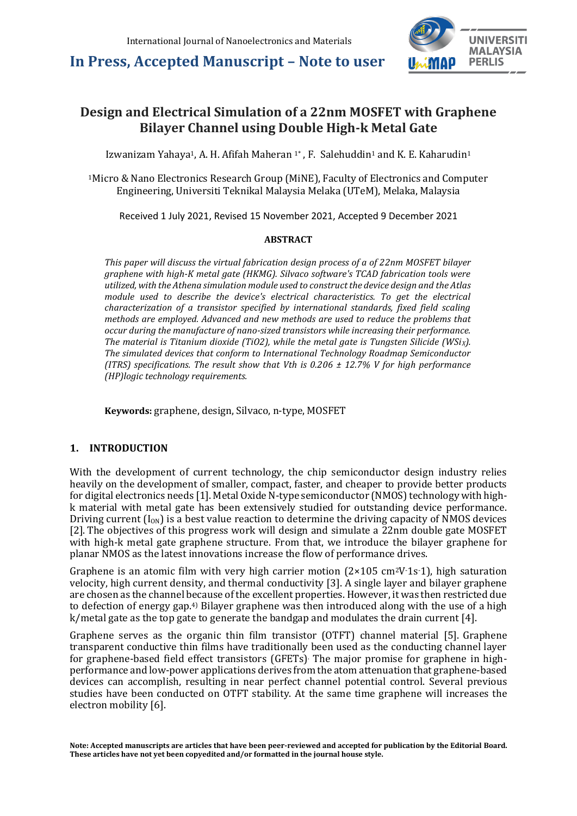

### **Design and Electrical Simulation of a 22nm MOSFET with Graphene Bilayer Channel using Double High-k Metal Gate**

Izwanizam Yahaya1, A. H. Afifah Maheran 1\* , F. Salehuddin<sup>1</sup> and K. E. Kaharudin<sup>1</sup>

<sup>1</sup>Micro & Nano Electronics Research Group (MiNE), Faculty of Electronics and Computer Engineering, Universiti Teknikal Malaysia Melaka (UTeM), Melaka, Malaysia

Received 1 July 2021, Revised 15 November 2021, Accepted 9 December 2021

#### **ABSTRACT**

*This paper will discuss the virtual fabrication design process of a of 22nm MOSFET bilayer graphene with high-K metal gate (HKMG). Silvaco software's TCAD fabrication tools were utilized, with the Athena simulation module used to construct the device design and the Atlas module used to describe the device's electrical characteristics. To get the electrical characterization of a transistor specified by international standards, fixed field scaling methods are employed. Advanced and new methods are used to reduce the problems that occur during the manufacture of nano-sized transistors while increasing their performance. The material is Titanium dioxide (TiO2), while the metal gate is Tungsten Silicide (WSiX). The simulated devices that conform to International Technology Roadmap Semiconductor (ITRS) specifications. The result show that Vth is 0.206 ± 12.7% V for high performance (HP)logic technology requirements.*

**Keywords:** graphene, design, Silvaco, n-type, MOSFET

#### **1. INTRODUCTION**

With the development of current technology, the chip semiconductor design industry relies heavily on the development of smaller, compact, faster, and cheaper to provide better products for digital electronics needs [1]. Metal Oxide N-type semiconductor (NMOS) technology with highk material with metal gate has been extensively studied for outstanding device performance. Driving current  $(I_{0N})$  is a best value reaction to determine the driving capacity of NMOS devices [2]. The objectives of this progress work will design and simulate a 22nm double gate MOSFET with high-k metal gate graphene structure. From that, we introduce the bilayer graphene for planar NMOS as the latest innovations increase the flow of performance drives.

Graphene is an atomic film with very high carrier motion  $(2 \times 105 \text{ cm}^2 \text{V} \cdot 1 \text{s} \cdot 1)$ , high saturation velocity, high current density, and thermal conductivity [3]. A single layer and bilayer graphene are chosen as the channel because of the excellent properties. However, it was then restricted due to defection of energy gap.4) Bilayer graphene was then introduced along with the use of a high k/metal gate as the top gate to generate the bandgap and modulates the drain current [4].

Graphene serves as the organic thin film transistor (OTFT) channel material [5]. Graphene transparent conductive thin films have traditionally been used as the conducting channel layer for graphene-based field effect transistors (GFETs). The major promise for graphene in highperformance and low-power applications derives from the atom attenuation that graphene-based devices can accomplish, resulting in near perfect channel potential control. Several previous studies have been conducted on OTFT stability. At the same time graphene will increases the electron mobility [6].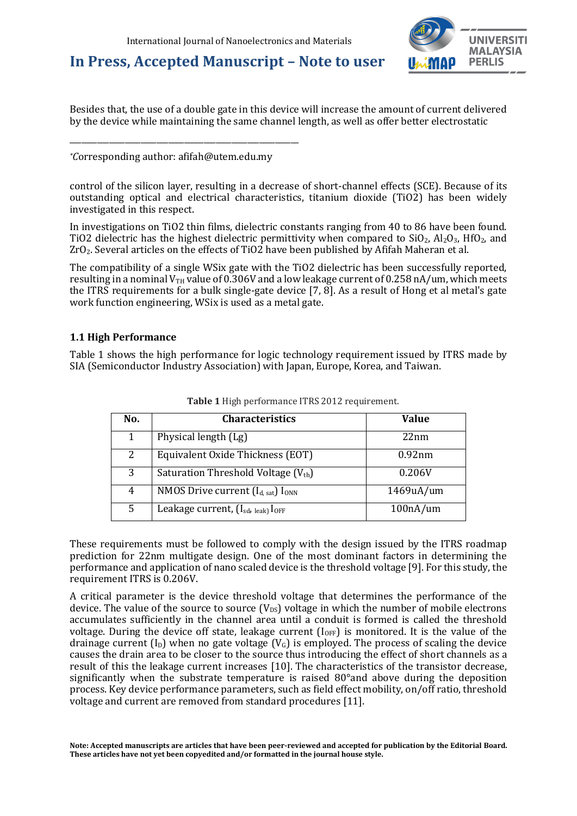

Besides that, the use of a double gate in this device will increase the amount of current delivered by the device while maintaining the same channel length, as well as offer better electrostatic

*\*C*orresponding author: afifah@utem.edu.my

\_\_\_\_\_\_\_\_\_\_\_\_\_\_\_\_\_\_\_\_\_\_\_\_\_\_\_\_\_\_\_\_\_\_\_\_\_\_\_\_\_\_\_\_\_\_\_\_\_\_\_\_\_\_\_\_\_\_

control of the silicon layer, resulting in a decrease of short-channel effects (SCE). Because of its outstanding optical and electrical characteristics, titanium dioxide (TiO2) has been widely investigated in this respect.

In investigations on TiO2 thin films, dielectric constants ranging from 40 to 86 have been found. TiO2 dielectric has the highest dielectric permittivity when compared to  $SiO_2$ ,  $Al_2O_3$ , HfO<sub>2</sub>, and ZrO2. Several articles on the effects of TiO2 have been published by Afifah Maheran et al.

The compatibility of a single WSix gate with the TiO2 dielectric has been successfully reported, resulting in a nominal  $V_{TH}$  value of 0.306V and a low leakage current of 0.258 nA/um, which meets the ITRS requirements for a bulk single-gate device [7, 8]. As a result of Hong et al metal's gate work function engineering, WSix is used as a metal gate.

#### **1.1 High Performance**

Table 1 shows the high performance for logic technology requirement issued by ITRS made by SIA (Semiconductor Industry Association) with Japan, Europe, Korea, and Taiwan.

| No. | <b>Characteristics</b>                                    | <b>Value</b> |
|-----|-----------------------------------------------------------|--------------|
| 1   | Physical length (Lg)                                      | 22nm         |
| 2   | Equivalent Oxide Thickness (EOT)                          | 0.92nm       |
| 3   | Saturation Threshold Voltage $(V_{th})$                   | 0.206V       |
| 4   | NMOS Drive current $(I_d, sat)$ $I_{ONN}$                 | 1469uA/um    |
| 5   | Leakage current, (I <sub>sd, leak)</sub> I <sub>OFF</sub> | 100nA/um     |

**Table 1** High performance ITRS 2012 requirement.

These requirements must be followed to comply with the design issued by the ITRS roadmap prediction for 22nm multigate design. One of the most dominant factors in determining the performance and application of nano scaled device is the threshold voltage [9]. For this study, the requirement ITRS is 0.206V.

A critical parameter is the device threshold voltage that determines the performance of the device. The value of the source to source  $(V_{DS})$  voltage in which the number of mobile electrons accumulates sufficiently in the channel area until a conduit is formed is called the threshold voltage. During the device off state, leakage current (I<sub>OFF</sub>) is monitored. It is the value of the drainage current  $(I_D)$  when no gate voltage  $(V_G)$  is employed. The process of scaling the device causes the drain area to be closer to the source thus introducing the effect of short channels as a result of this the leakage current increases [10]. The characteristics of the transistor decrease, significantly when the substrate temperature is raised 80°and above during the deposition process. Key device performance parameters, such as field effect mobility, on/off ratio, threshold voltage and current are removed from standard procedures [11].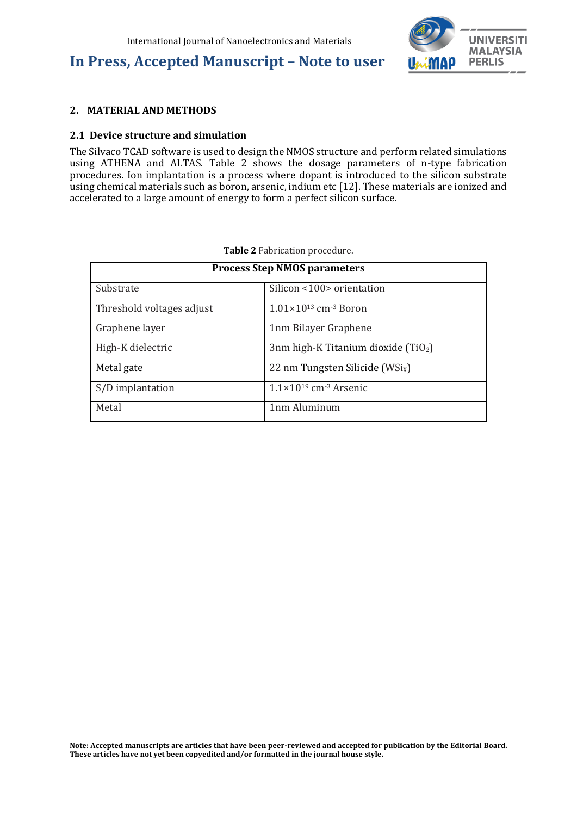

#### **2. MATERIAL AND METHODS**

#### **2.1 Device structure and simulation**

The Silvaco TCAD software is used to design the NMOS structure and perform related simulations using ATHENA and ALTAS. Table 2 shows the dosage parameters of n-type fabrication procedures. Ion implantation is a process where dopant is introduced to the silicon substrate using chemical materials such as boron, arsenic, indium etc [12]. These materials are ionized and accelerated to a large amount of energy to form a perfect silicon surface.

| <b>Process Step NMOS parameters</b> |                                              |  |
|-------------------------------------|----------------------------------------------|--|
| Substrate                           | Silicon <100> orientation                    |  |
| Threshold voltages adjust           | $1.01 \times 10^{13}$ cm <sup>-3</sup> Boron |  |
| Graphene layer                      | 1nm Bilayer Graphene                         |  |
| High-K dielectric                   | 3nm high-K Titanium dioxide $(TiO2)$         |  |
| Metal gate                          | 22 nm Tungsten Silicide (WSi <sub>x</sub> )  |  |
| S/D implantation                    | $1.1\times10^{19}$ cm <sup>-3</sup> Arsenic  |  |
| Metal                               | 1nm Aluminum                                 |  |

**Table 2** Fabrication procedure.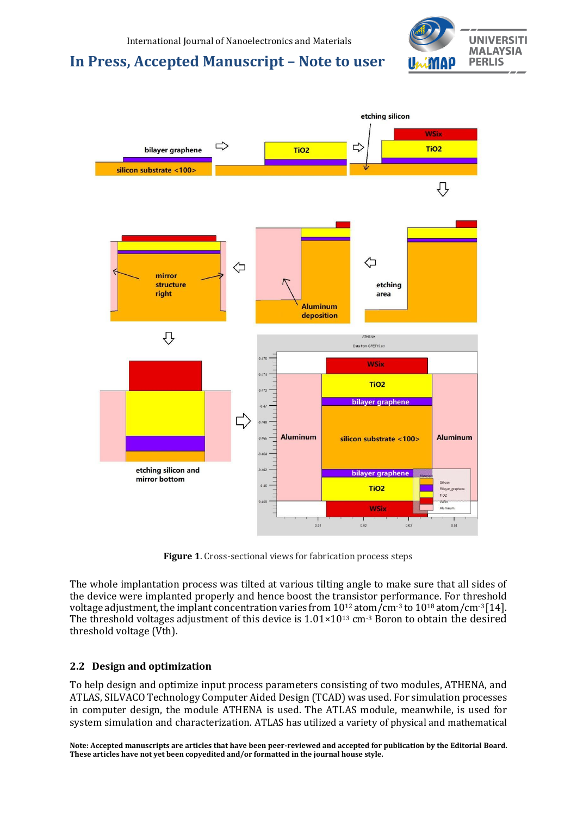



**Figure 1**. Cross-sectional views for fabrication process steps

The whole implantation process was tilted at various tilting angle to make sure that all sides of the device were implanted properly and hence boost the transistor performance. For threshold voltage adjustment, the implant concentration varies from 10<sup>12</sup> atom/cm<sup>-3</sup> to 10<sup>18</sup> atom/cm<sup>-3</sup> [14]. The threshold voltages adjustment of this device is  $1.01 \times 10^{13}$  cm<sup>-3</sup> Boron to obtain the desired threshold voltage (Vth).

### **2.2 Design and optimization**

To help design and optimize input process parameters consisting of two modules, ATHENA, and ATLAS, SILVACO Technology Computer Aided Design (TCAD) was used. For simulation processes in computer design, the module ATHENA is used. The ATLAS module, meanwhile, is used for system simulation and characterization. ATLAS has utilized a variety of physical and mathematical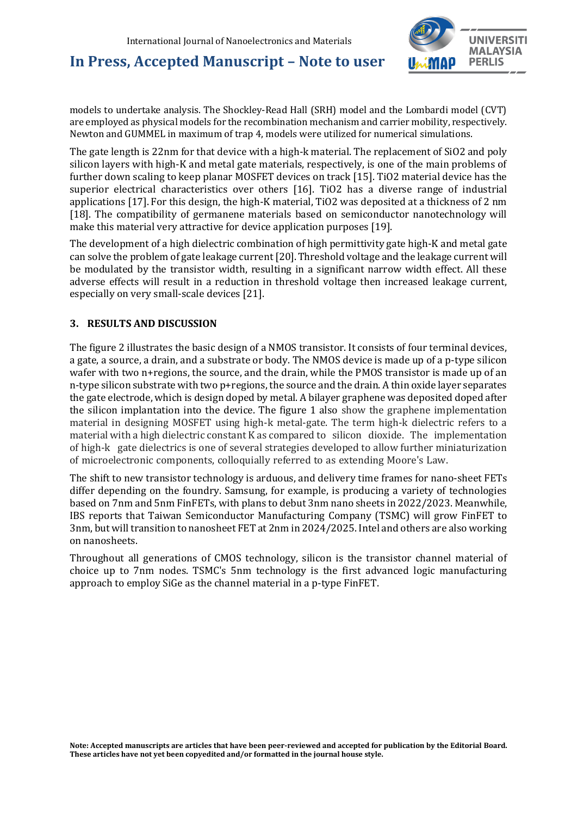

models to undertake analysis. The Shockley-Read Hall (SRH) model and the Lombardi model (CVT) are employed as physical models for the recombination mechanism and carrier mobility, respectively. Newton and GUMMEL in maximum of trap 4, models were utilized for numerical simulations.

The gate length is 22nm for that device with a high-k material. The replacement of SiO2 and poly silicon layers with high-K and metal gate materials, respectively, is one of the main problems of further down scaling to keep planar MOSFET devices on track [15]. TiO2 material device has the superior electrical characteristics over others [16]. TiO2 has a diverse range of industrial applications [17]. For this design, the high-K material, TiO2 was deposited at a thickness of 2 nm [18]. The compatibility of germanene materials based on semiconductor nanotechnology will make this material very attractive for device application purposes [19].

The development of a high dielectric combination of high permittivity gate high-K and metal gate can solve the problem of gate leakage current [20].Threshold voltage and the leakage current will be modulated by the transistor width, resulting in a significant narrow width effect. All these adverse effects will result in a reduction in threshold voltage then increased leakage current, especially on very small-scale devices [21].

### **3. RESULTS AND DISCUSSION**

The figure 2 illustrates the basic design of a NMOS transistor. It consists of four terminal devices, a gate, a source, a drain, and a substrate or body. The NMOS device is made up of a p-type silicon wafer with two n+regions, the source, and the drain, while the PMOS transistor is made up of an n-type silicon substrate with two p+regions, the source and the drain. A thin oxide layer separates the gate electrode, which is design doped by metal. A bilayer graphene was deposited doped after the silicon implantation into the device. The figure 1 also show the graphene implementation material in designing MOSFET using high-k metal-gate. The term high-k dielectric refers to a material with a high dielectric constant K as compared to silicon dioxide. The implementation of high-k gate dielectrics is one of several strategies developed to allow further miniaturization of microelectronic components, colloquially referred to as extending Moore's Law.

The shift to new transistor technology is arduous, and delivery time frames for nano-sheet FETs differ depending on the foundry. Samsung, for example, is producing a variety of technologies based on 7nm and 5nm FinFETs, with plans to debut 3nm nano sheets in 2022/2023. Meanwhile, IBS reports that Taiwan Semiconductor Manufacturing Company (TSMC) will grow FinFET to 3nm, but will transition to nanosheet FET at 2nm in 2024/2025. Intel and others are also working on nanosheets.

Throughout all generations of CMOS technology, silicon is the transistor channel material of choice up to 7nm nodes. TSMC's 5nm technology is the first advanced logic manufacturing approach to employ SiGe as the channel material in a p-type FinFET.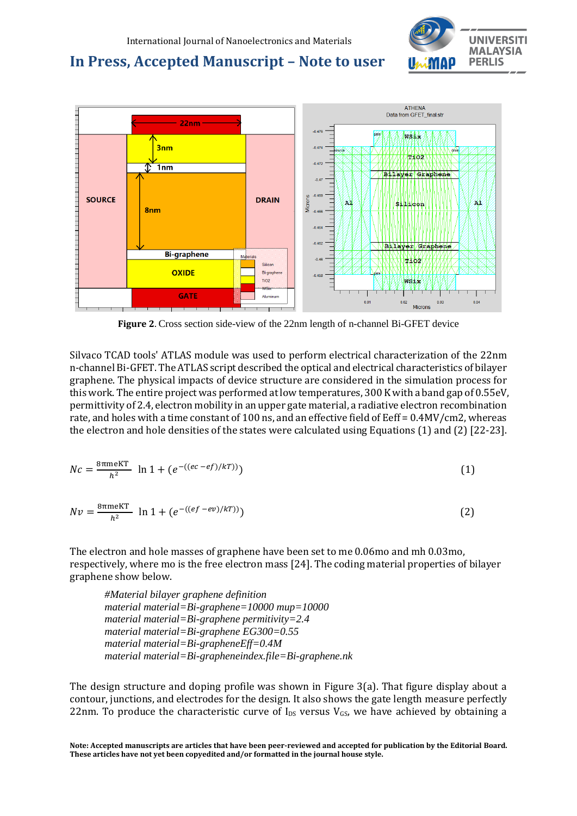



**Figure 2**. Cross section side-view of the 22nm length of n-channel Bi-GFET device

Silvaco TCAD tools' ATLAS module was used to perform electrical characterization of the 22nm n-channel Bi-GFET. The ATLAS script described the optical and electrical characteristics of bilayer graphene. The physical impacts of device structure are considered in the simulation process for this work. The entire project was performed at low temperatures, 300 K with a band gap of 0.55eV, permittivity of 2.4, electron mobility in an upper gate material, a radiative electron recombination rate, and holes with a time constant of 100 ns, and an effective field of Eeff = 0.4MV/cm2, whereas the electron and hole densities of the states were calculated using Equations (1) and (2) [22-23].

$$
Nc = \frac{8\pi m eKT}{h^2} \ln 1 + (e^{-((ec - ef)/kT))})
$$
\n(1)

$$
Nv = \frac{\text{8\,m}\text{eKT}}{h^2} \ln 1 + (e^{-((ef - ev)/kT)})
$$
\n(2)

The electron and hole masses of graphene have been set to me 0.06mo and mh 0.03mo, respectively, where mo is the free electron mass [24]. The coding material properties of bilayer graphene show below.

*#Material bilayer graphene definition material material=Bi-graphene=10000 mup=10000 material material=Bi-graphene permitivity=2.4 material material=Bi-graphene EG300=0.55 material material=Bi-grapheneEff=0.4M material material=Bi-grapheneindex.file=Bi-graphene.nk*

The design structure and doping profile was shown in Figure 3(a). That figure display about a contour, junctions, and electrodes for the design. It also shows the gate length measure perfectly 22nm. To produce the characteristic curve of  $I_{DS}$  versus  $V_{GS}$ , we have achieved by obtaining a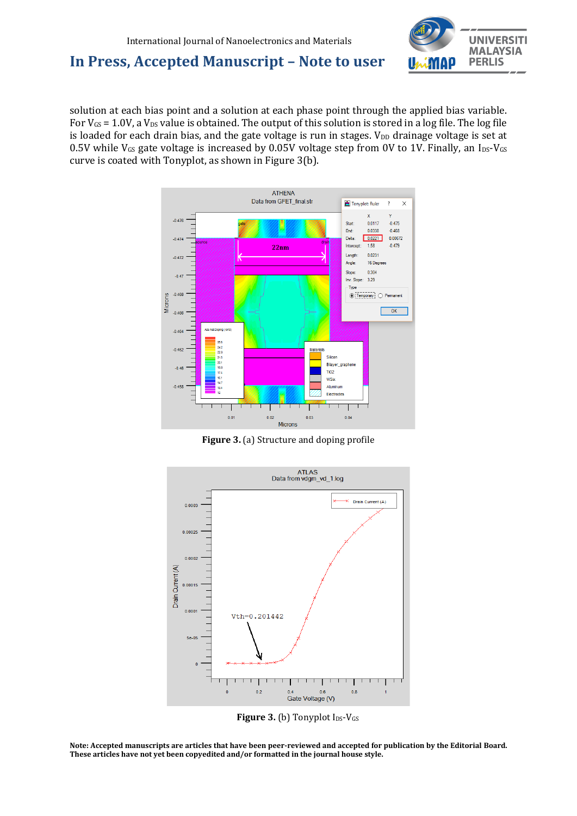

solution at each bias point and a solution at each phase point through the applied bias variable. For  $V_{GS}$  = 1.0V, a  $V_{DS}$  value is obtained. The output of this solution is stored in a log file. The log file is loaded for each drain bias, and the gate voltage is run in stages.  $V_{DD}$  drainage voltage is set at 0.5V while  $V_{GS}$  gate voltage is increased by 0.05V voltage step from 0V to 1V. Finally, an  $I_{DS}$ -V $_{GS}$ curve is coated with Tonyplot, as shown in Figure 3(b).



**Figure 3.** (a) Structure and doping profile



**Figure 3. (b) Tonyplot IDS-VGS**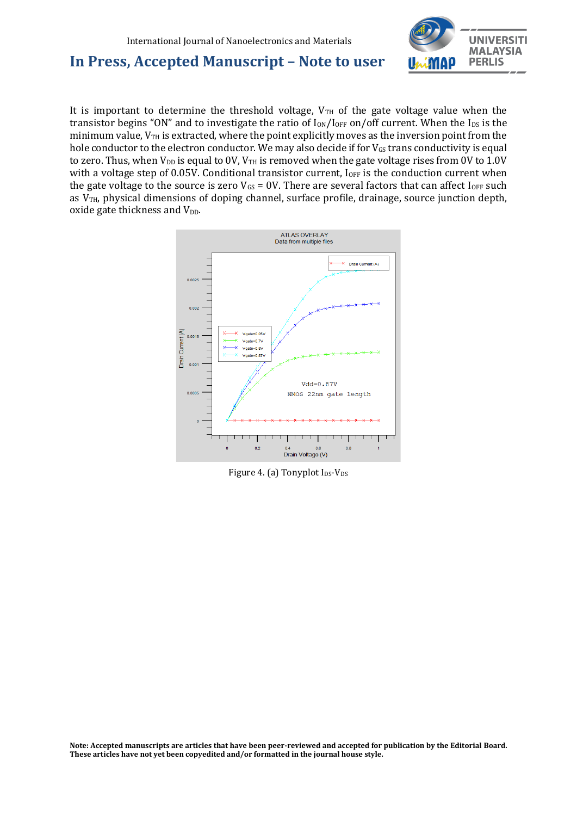

It is important to determine the threshold voltage,  $V_{TH}$  of the gate voltage value when the transistor begins "ON" and to investigate the ratio of  $I_{ON}/I_{OFF}$  on/off current. When the  $I_{DS}$  is the minimum value,  $V_{TH}$  is extracted, where the point explicitly moves as the inversion point from the hole conductor to the electron conductor. We may also decide if for  $V_{GS}$  trans conductivity is equal to zero. Thus, when  $V_{DD}$  is equal to  $0V$ ,  $V_{TH}$  is removed when the gate voltage rises from  $0V$  to  $1.0V$ with a voltage step of 0.05V. Conditional transistor current,  $I_{OFF}$  is the conduction current when the gate voltage to the source is zero  $V_{GS}$  = 0V. There are several factors that can affect  $I_{OFF}$  such as  $V<sub>TH</sub>$ , physical dimensions of doping channel, surface profile, drainage, source junction depth, oxide gate thickness and  $V_{DD}$ .



Figure 4. (a) Tonyplot  $I_{DS}$ -V<sub>DS</sub>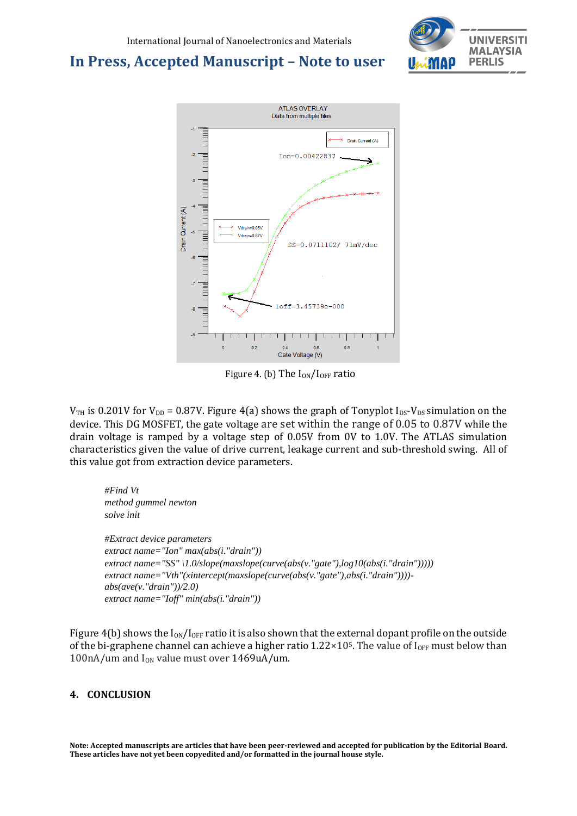



Figure 4. (b) The  $I_{ON}/I_{OFF}$  ratio

 $V_{TH}$  is 0.201V for  $V_{DD}$  = 0.87V. Figure 4(a) shows the graph of Tonyplot I<sub>DS</sub>-V<sub>DS</sub> simulation on the device. This DG MOSFET, the gate voltage are set within the range of 0.05 to 0.87V while the drain voltage is ramped by a voltage step of 0.05V from 0V to 1.0V. The ATLAS simulation characteristics given the value of drive current, leakage current and sub-threshold swing. All of this value got from extraction device parameters.

*#Find Vt method gummel newton solve init #Extract device parameters extract name="Ion" max(abs(i."drain")) extract name="SS" \1.0/slope(maxslope(curve(abs(v."gate"),log10(abs(i."drain"))))) extract name="Vth"(xintercept(maxslope(curve(abs(v."gate"),abs(i."drain")))) abs(ave(v."drain"))/2.0) extract name="Ioff" min(abs(i."drain"))*

Figure 4(b) shows the  $I_{ON}/I_{OFF}$  ratio it is also shown that the external dopant profile on the outside of the bi-graphene channel can achieve a higher ratio  $1.22 \times 10^5$ . The value of I<sub>OFF</sub> must below than 100nA/um and  $I_{ON}$  value must over 1469uA/um.

### **4. CONCLUSION**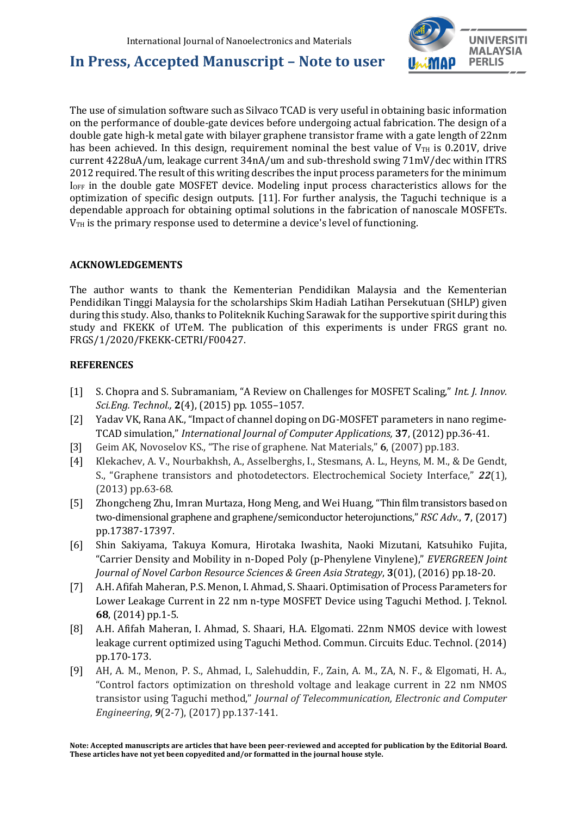

The use of simulation software such as Silvaco TCAD is very useful in obtaining basic information on the performance of double-gate devices before undergoing actual fabrication. The design of a double gate high-k metal gate with bilayer graphene transistor frame with a gate length of 22nm has been achieved. In this design, requirement nominal the best value of  $V_{TH}$  is 0.201V, drive current 4228uA/um, leakage current 34nA/um and sub-threshold swing 71mV/dec within ITRS 2012 required. The result of this writing describes the input process parameters for the minimum IOFF in the double gate MOSFET device. Modeling input process characteristics allows for the optimization of specific design outputs. [11]. For further analysis, the Taguchi technique is a dependable approach for obtaining optimal solutions in the fabrication of nanoscale MOSFETs.  $V<sub>TH</sub>$  is the primary response used to determine a device's level of functioning.

### **ACKNOWLEDGEMENTS**

The author wants to thank the Kementerian Pendidikan Malaysia and the Kementerian Pendidikan Tinggi Malaysia for the scholarships Skim Hadiah Latihan Persekutuan (SHLP) given during this study. Also, thanks to Politeknik Kuching Sarawak for the supportive spirit during this study and FKEKK of UTeM. The publication of this experiments is under FRGS grant no. FRGS/1/2020/FKEKK-CETRI/F00427.

### **REFERENCES**

- [1] S. Chopra and S. Subramaniam, "A Review on Challenges for MOSFET Scaling," *Int. J. Innov. Sci.Eng. Technol.,* **2**(4), (2015) pp. 1055–1057.
- [2] Yadav VK, Rana AK., "Impact of channel doping on DG-MOSFET parameters in nano regime-TCAD simulation," *International Journal of Computer Applications,* **37**, (2012) pp.36-41.
- [3] Geim AK, Novoselov KS., "The rise of graphene. Nat Materials," **6**, (2007) pp.183.
- [4] Klekachev, A. V., Nourbakhsh, A., Asselberghs, I., Stesmans, A. L., Heyns, M. M., & De Gendt, S., "Graphene transistors and photodetectors. Electrochemical Society Interface," *22*(1), (2013) pp.63-68.
- [5] Zhongcheng Zhu, Imran Murtaza, Hong Meng, and Wei Huang, "Thin film transistors based on two-dimensional graphene and graphene/semiconductor heterojunctions," *[RSC Adv.](https://doi.org/10.1039/2046-2069/2011)*, **7**, (2017) pp.17387-17397.
- [6] Shin Sakiyama, Takuya Komura, Hirotaka Iwashita, Naoki Mizutani, Katsuhiko Fujita, "Carrier Density and Mobility in n-Doped Poly (p-Phenylene Vinylene)," *EVERGREEN Joint Journal of Novel Carbon Resource Sciences & Green Asia Strategy*, **3**(01), (2016) pp.18-20.
- [7] A.H. Afifah Maheran, P.S. Menon, I. Ahmad, S. Shaari. Optimisation of Process Parameters for Lower Leakage Current in 22 nm n-type MOSFET Device using Taguchi Method. J. Teknol. **68**, (2014) pp.1-5.
- [8] A.H. Afifah Maheran, I. Ahmad, S. Shaari, H.A. Elgomati. 22nm NMOS device with lowest leakage current optimized using Taguchi Method. Commun. Circuits Educ. Technol. (2014) pp.170-173.
- [9] AH, A. M., Menon, P. S., Ahmad, I., Salehuddin, F., Zain, A. M., ZA, N. F., & Elgomati, H. A., "Control factors optimization on threshold voltage and leakage current in 22 nm NMOS transistor using Taguchi method," *Journal of Telecommunication, Electronic and Computer Engineering*, *9*(2-7), (2017) pp.137-141.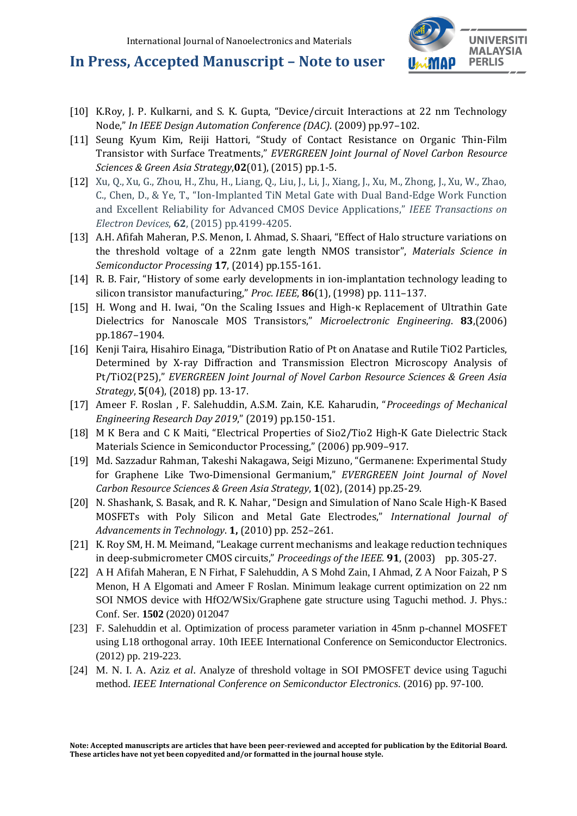

- [10] K.Roy, J. P. Kulkarni, and S. K. Gupta, "Device/circuit Interactions at 22 nm Technology Node," *In IEEE Design Automation Conference (DAC)*. (2009) pp.97–102.
- [11] Seung Kyum Kim, Reiji Hattori, "Study of Contact Resistance on Organic Thin-Film Transistor with Surface Treatments," *EVERGREEN Joint Journal of Novel Carbon Resource Sciences & Green Asia Strategy*,**02**(01), (2015) pp.1-5.
- [12] Xu, Q., Xu, G., Zhou, H., Zhu, H., Liang, Q., Liu, J., Li, J., Xiang, J., Xu, M., Zhong, J., Xu, W., Zhao, C., Chen, D., & Ye, T., "Ion-Implanted TiN Metal Gate with Dual Band-Edge Work Function and Excellent Reliability for Advanced CMOS Device Applications," *IEEE Transactions on Electron Devices*, **62**, (2015) pp.4199-4205.
- [13] A.H. Afifah Maheran, P.S. Menon, I. Ahmad, S. Shaari, "Effect of Halo structure variations on the threshold voltage of a 22nm gate length NMOS transistor", *Materials Science in Semiconductor Processing* **17**, (2014) pp.155-161.
- [14] R. B. Fair, "History of some early developments in ion-implantation technology leading to silicon transistor manufacturing," *Proc. IEEE*, **86**(1), (1998) pp. 111–137.
- [15] H. Wong and H. Iwai, "On the Scaling Issues and High-κ Replacement of Ultrathin Gate Dielectrics for Nanoscale MOS Transistors," *Microelectronic Engineering*. **83**,(2006) pp.1867–1904.
- [16] Kenji Taira, Hisahiro Einaga, "Distribution Ratio of Pt on Anatase and Rutile TiO2 Particles, Determined by X-ray Diffraction and Transmission Electron Microscopy Analysis of Pt/TiO2(P25)," *EVERGREEN Joint Journal of Novel Carbon Resource Sciences & Green Asia Strategy*, **5**(04), (2018) pp. 13-17.
- [17] Ameer F. Roslan , F. Salehuddin, A.S.M. Zain, K.E. Kaharudin, "*Proceedings of Mechanical Engineering Research Day 2019*," (2019) pp.150-151.
- [18] M K Bera and C K Maiti, "Electrical Properties of Sio2/Tio2 High-K Gate Dielectric Stack Materials Science in Semiconductor Processing," (2006) pp.909–917.
- [19] Md. Sazzadur Rahman, Takeshi Nakagawa, Seigi Mizuno, "Germanene: Experimental Study for Graphene Like Two-Dimensional Germanium," *EVERGREEN Joint Journal of Novel Carbon Resource Sciences & Green Asia Strategy*, **1**(02), (2014) pp.25-29.
- [20] N. Shashank, S. Basak, and R. K. Nahar, "Design and Simulation of Nano Scale High-K Based MOSFETs with Poly Silicon and Metal Gate Electrodes," *International Journal of Advancements in Technology*. **1,** (2010) pp. 252–261.
- [21] K. Roy SM, H. M. Meimand, "Leakage current mechanisms and leakage reduction techniques in deep-submicrometer CMOS circuits," *Proceedings of the IEEE.* **91**, (2003) pp. 305-27.
- [22] A H Afifah Maheran, E N Firhat, F Salehuddin, A S Mohd Zain, I Ahmad, Z A Noor Faizah, P S Menon, H A Elgomati and Ameer F Roslan. Minimum leakage current optimization on 22 nm SOI NMOS device with HfO2/WSix/Graphene gate structure using Taguchi method. J. Phys.: Conf. Ser. **1502** (2020) 012047
- [23] F. Salehuddin et al. Optimization of process parameter variation in 45nm p-channel MOSFET using L18 orthogonal array. 10th IEEE International Conference on Semiconductor Electronics. (2012) pp. 219-223.
- [24] M. N. I. A. Aziz *et al*. Analyze of threshold voltage in SOI PMOSFET device using Taguchi method. *IEEE International Conference on Semiconductor Electronics.* (2016) pp. 97-100.